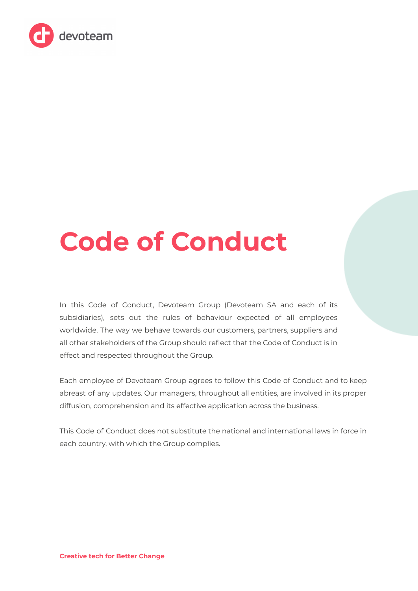

# **Code of Conduct**

In this Code of Conduct, Devoteam Group (Devoteam SA and each of its subsidiaries), sets out the rules of behaviour expected of all employees worldwide. The way we behave towards our customers, partners, suppliers and all other stakeholders of the Group should reflect that the Code of Conduct is in effect and respected throughout the Group.

Each employee of Devoteam Group agrees to follow this Code of Conduct and to keep abreast of any updates. Our managers, throughout all entities, are involved in its proper diffusion, comprehension and its effective application across the business.

This Code of Conduct does not substitute the national and international laws in force in each country, with which the Group complies.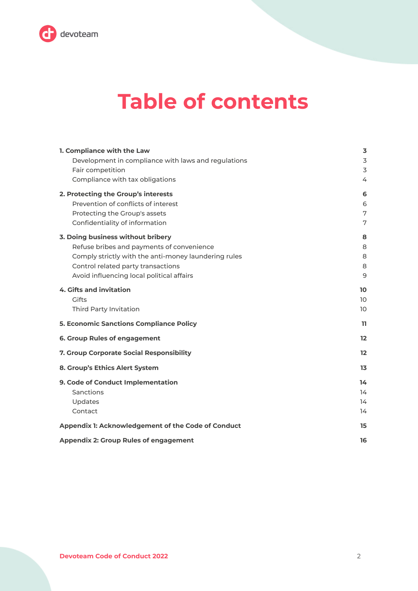

# **Table of contents**

| 1. Compliance with the Law                           | 3                 |
|------------------------------------------------------|-------------------|
| Development in compliance with laws and regulations  | 3                 |
| Fair competition                                     | 3                 |
| Compliance with tax obligations                      | 4                 |
| 2. Protecting the Group's interests                  | 6                 |
| Prevention of conflicts of interest                  | 6                 |
| Protecting the Group's assets                        | 7                 |
| Confidentiality of information                       | 7                 |
| 3. Doing business without bribery                    | 8                 |
| Refuse bribes and payments of convenience            | 8                 |
| Comply strictly with the anti-money laundering rules | 8                 |
| Control related party transactions                   | 8                 |
| Avoid influencing local political affairs            | 9                 |
| <b>4. Gifts and invitation</b>                       | 10                |
| Gifts                                                | 10 <sup>°</sup>   |
| <b>Third Party Invitation</b>                        | 10                |
| <b>5. Economic Sanctions Compliance Policy</b>       | 11                |
| 6. Group Rules of engagement                         | $12 \overline{ }$ |
| 7. Group Corporate Social Responsibility             | $12 \overline{ }$ |
| 8. Group's Ethics Alert System                       | 13                |
| 9. Code of Conduct Implementation                    | 14                |
| Sanctions                                            | 14                |
| Updates                                              | 14                |
| Contact                                              | 14                |
| Appendix 1: Acknowledgement of the Code of Conduct   | 15                |
| <b>Appendix 2: Group Rules of engagement</b>         | 16                |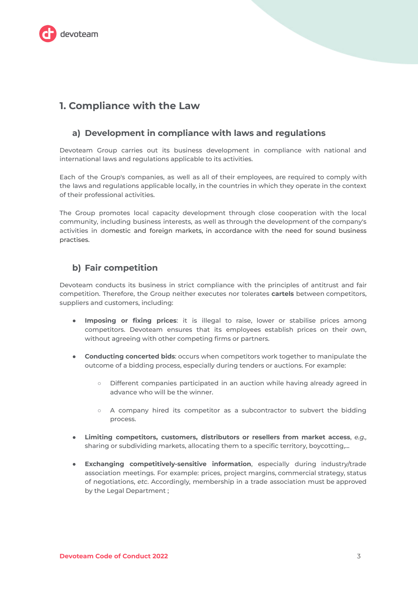

# <span id="page-2-0"></span>1. Compliance with the Law

#### <span id="page-2-1"></span>a) Development in compliance with laws and regulations

Devoteam Group carries out its business development in compliance with national and international laws and regulations applicable to its activities.

Each of the Group's companies, as well as all of their employees, are required to comply with the laws and regulations applicable locally, in the countries in which they operate in the context of their professional activities.

The Group promotes local capacity development through close cooperation with the local community, including business interests, as well as through the development of the company's activities in domestic and foreign markets, in accordance with the need for sound business practises.

#### <span id="page-2-2"></span>b) Fair competition

Devoteam conducts its business in strict compliance with the principles of antitrust and fair competition. Therefore, the Group neither executes nor tolerates cartels between competitors, suppliers and customers, including:

- Imposing or fixing prices: it is illegal to raise, lower or stabilise prices among competitors. Devoteam ensures that its employees establish prices on their own, without agreeing with other competing firms or partners.
- Conducting concerted bids: occurs when competitors work together to manipulate the outcome of a bidding process, especially during tenders or auctions. For example:
	- Different companies participated in an auction while having already agreed in  $\circ$ advance who will be the winner.
	- A company hired its competitor as a subcontractor to subvert the bidding  $\circ$ process.
- Limiting competitors, customers, distributors or resellers from market access, e.g.,  $\bullet$ sharing or subdividing markets, allocating them to a specific territory, boycotting,...
- Exchanging competitively-sensitive information, especially during industry/trade association meetings. For example: prices, project margins, commercial strategy, status of negotiations, etc. Accordingly, membership in a trade association must be approved by the Legal Department ;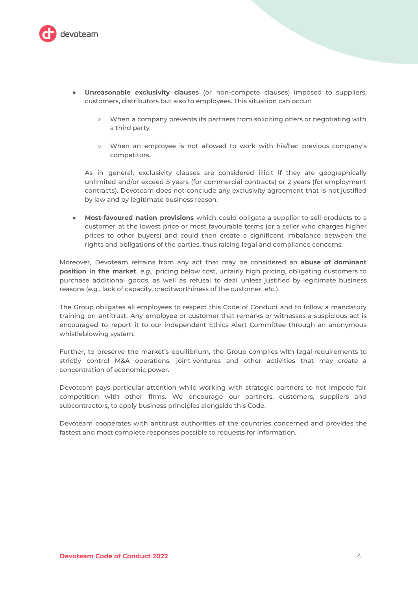

- Unreasonable exclusivity clauses (or non-compete clauses) imposed to suppliers, customers, distributors but also to employees. This situation can occur:
	- o When a company prevents its partners from soliciting offers or negotiating with a third party.
	- o When an employee is not allowed to work with his/her previous company's competitors.

As in general, exclusivity clauses are considered illicit if they are geographically unlimited and/or exceed 5 years (for commercial contracts) or 2 years (for employment contracts). Devoteam does not conclude any exclusivity agreement that is not justified by law and by legitimate business reason.

• Most-favoured nation provisions which could obligate a supplier to sell products to a customer at the lowest price or most favourable terms (or a seller who charges higher prices to other buyers) and could then create a significant imbalance between the rights and obligations of the parties, thus raising legal and compliance concerns.

Moreover, Devoteam refrains from any act that may be considered an abuse of dominant position in the market, e.g., pricing below cost, unfairly high pricing, obligating customers to purchase additional goods, as well as refusal to deal unless justified by legitimate business reasons (e.g., lack of capacity, creditworthiness of the customer, etc.).

The Group obligates all employees to respect this Code of Conduct and to follow a mandatory training on antitrust. Any employee or customer that remarks or witnesses a suspicious act is encouraged to report it to our independent Ethics Alert Committee through an anonymous whistleblowing system.

Further, to preserve the market's equilibrium, the Group complies with legal requirements to strictly control M&A operations, joint-ventures and other activities that may create a concentration of economic power.

Devoteam pays particular attention while working with strategic partners to not impede fair competition with other firms. We encourage our partners, customers, suppliers and subcontractors, to apply business principles alongside this Code.

Devoteam cooperates with antitrust authorities of the countries concerned and provides the fastest and most complete responses possible to requests for information.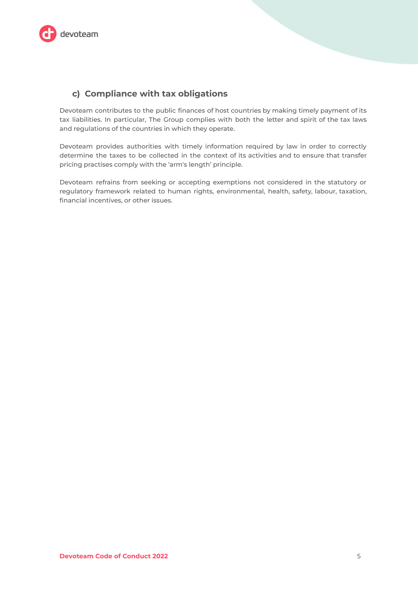

#### <span id="page-4-0"></span>c) Compliance with tax obligations

Devoteam contributes to the public finances of host countries by making timely payment of its tax liabilities. In particular, The Group complies with both the letter and spirit of the tax laws and regulations of the countries in which they operate.

Devoteam provides authorities with timely information required by law in order to correctly determine the taxes to be collected in the context of its activities and to ensure that transfer pricing practises comply with the 'arm's length' principle.

Devoteam refrains from seeking or accepting exemptions not considered in the statutory or regulatory framework related to human rights, environmental, health, safety, labour, taxation, financial incentives, or other issues.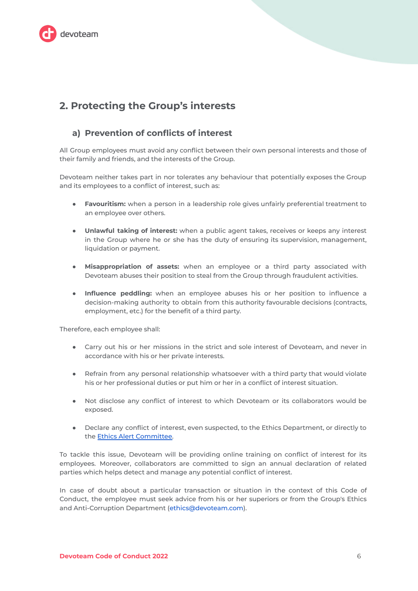

# <span id="page-5-0"></span>2. Protecting the Group's interests

#### <span id="page-5-1"></span>a) Prevention of conflicts of interest

All Group employees must avoid any conflict between their own personal interests and those of their family and friends, and the interests of the Group.

Devoteam neither takes part in nor tolerates any behaviour that potentially exposes the Group and its employees to a conflict of interest, such as:

- Favouritism: when a person in a leadership role gives unfairly preferential treatment to an employee over others.
- . Unlawful taking of interest: when a public agent takes, receives or keeps any interest in the Group where he or she has the duty of ensuring its supervision, management, liquidation or payment.
- . Misappropriation of assets: when an employee or a third party associated with Devoteam abuses their position to steal from the Group through fraudulent activities.
- Influence peddling: when an employee abuses his or her position to influence a decision-making authority to obtain from this authority favourable decisions (contracts, employment, etc.) for the benefit of a third party.

Therefore, each employee shall:

- Carry out his or her missions in the strict and sole interest of Devoteam, and never in accordance with his or her private interests.
- Refrain from any personal relationship whatsoever with a third party that would violate his or her professional duties or put him or her in a conflict of interest situation.
- Not disclose any conflict of interest to which Devoteam or its collaborators would be exposed.
- Declare any conflict of interest, even suspected, to the Ethics Department, or directly to the Ethics Alert Committee.

To tackle this issue, Devoteam will be providing online training on conflict of interest for its employees. Moreover, collaborators are committed to sign an annual declaration of related parties which helps detect and manage any potential conflict of interest.

In case of doubt about a particular transaction or situation in the context of this Code of Conduct, the employee must seek advice from his or her superiors or from the Group's Ethics and Anti-Corruption Department (ethics@devoteam.com).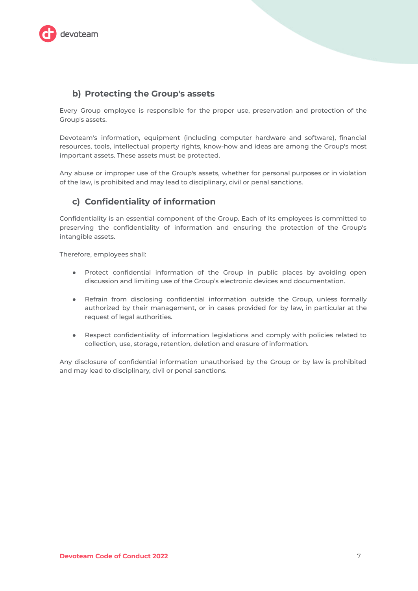

#### <span id="page-6-0"></span>b) Protecting the Group's assets

Every Group employee is responsible for the proper use, preservation and protection of the Group's assets.

Devoteam's information, equipment (including computer hardware and software), financial resources, tools, intellectual property rights, know-how and ideas are among the Group's most important assets. These assets must be protected.

Any abuse or improper use of the Group's assets, whether for personal purposes or in violation of the law, is prohibited and may lead to disciplinary, civil or penal sanctions.

#### <span id="page-6-1"></span>c) Confidentiality of information

Confidentiality is an essential component of the Group. Each of its employees is committed to preserving the confidentiality of information and ensuring the protection of the Group's intangible assets.

Therefore, employees shall:

- Protect confidential information of the Group in public places by avoiding open discussion and limiting use of the Group's electronic devices and documentation.
- Refrain from disclosing confidential information outside the Group, unless formally authorized by their management, or in cases provided for by law, in particular at the request of legal authorities.
- Respect confidentiality of information legislations and comply with policies related to collection, use, storage, retention, deletion and erasure of information.

Any disclosure of confidential information unauthorised by the Group or by law is prohibited and may lead to disciplinary, civil or penal sanctions.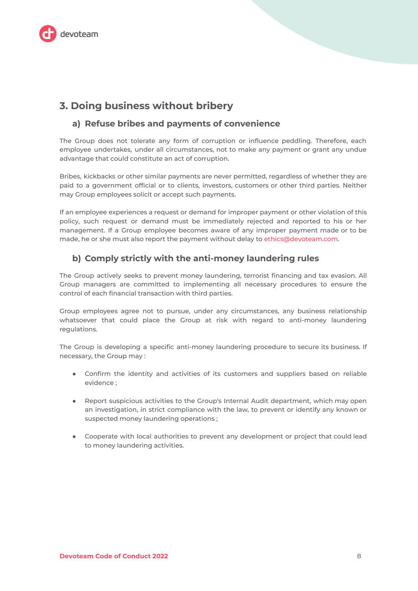

# <span id="page-7-0"></span>3. Doing business without bribery

#### <span id="page-7-1"></span>a) Refuse bribes and payments of convenience

The Group does not tolerate any form of corruption or influence peddling. Therefore, each employee undertakes, under all circumstances, not to make any payment or grant any undue advantage that could constitute an act of corruption.

Bribes, kickbacks or other similar payments are never permitted, regardless of whether they are paid to a government official or to clients, investors, customers or other third parties. Neither may Group employees solicit or accept such payments.

If an employee experiences a request or demand for improper payment or other violation of this policy, such request or demand must be immediately rejected and reported to his or her management. If a Group employee becomes aware of any improper payment made or to be made, he or she must also report the payment without delay to ethics@devoteam.com.

#### <span id="page-7-2"></span>b) Comply strictly with the anti-money laundering rules

The Group actively seeks to prevent money laundering, terrorist financing and tax evasion. All Group managers are committed to implementing all necessary procedures to ensure the control of each financial transaction with third parties.

Group employees agree not to pursue, under any circumstances, any business relationship whatsoever that could place the Group at risk with regard to anti-money laundering requlations.

The Group is developing a specific anti-money laundering procedure to secure its business. If necessary, the Group may:

- Confirm the identity and activities of its customers and suppliers based on reliable evidence:
- Report suspicious activities to the Group's Internal Audit department, which may open an investigation, in strict compliance with the law, to prevent or identify any known or suspected money laundering operations;
- Cooperate with local authorities to prevent any development or project that could lead to money laundering activities.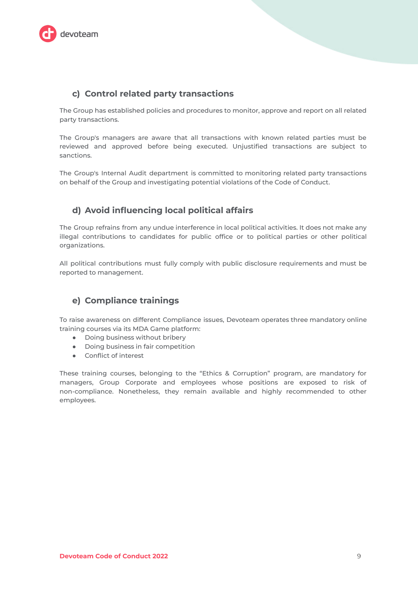

#### <span id="page-8-0"></span>c) Control related party transactions

The Group has established policies and procedures to monitor, approve and report on all related party transactions.

The Group's managers are aware that all transactions with known related parties must be reviewed and approved before being executed. Unjustified transactions are subject to sanctions

The Group's Internal Audit department is committed to monitoring related party transactions on behalf of the Group and investigating potential violations of the Code of Conduct.

#### <span id="page-8-1"></span>d) Avoid influencing local political affairs

The Group refrains from any undue interference in local political activities. It does not make any illegal contributions to candidates for public office or to political parties or other political organizations.

All political contributions must fully comply with public disclosure requirements and must be reported to management.

#### e) Compliance trainings

To raise awareness on different Compliance issues, Devoteam operates three mandatory online training courses via its MDA Game platform:

- Doing business without bribery
- Doing business in fair competition
- Conflict of interest

These training courses, belonging to the "Ethics & Corruption" program, are mandatory for managers, Group Corporate and employees whose positions are exposed to risk of non-compliance. Nonetheless, they remain available and highly recommended to other employees.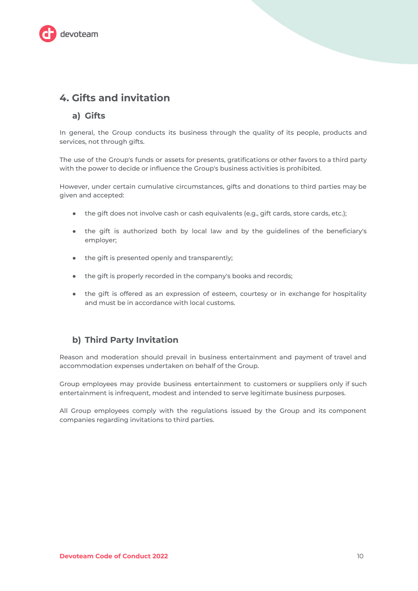

# <span id="page-9-0"></span>4. Gifts and invitation

#### <span id="page-9-1"></span>a) Gifts

In general, the Group conducts its business through the quality of its people, products and services, not through gifts.

The use of the Group's funds or assets for presents, gratifications or other favors to a third party with the power to decide or influence the Group's business activities is prohibited.

However, under certain cumulative circumstances, gifts and donations to third parties may be given and accepted:

- the gift does not involve cash or cash equivalents (e.g., gift cards, store cards, etc.);
- the gift is authorized both by local law and by the guidelines of the beneficiary's employer;
- the gift is presented openly and transparently;
- the gift is properly recorded in the company's books and records;
- the gift is offered as an expression of esteem, courtesy or in exchange for hospitality and must be in accordance with local customs.

#### <span id="page-9-2"></span>b) Third Party Invitation

Reason and moderation should prevail in business entertainment and payment of travel and accommodation expenses undertaken on behalf of the Group.

Group employees may provide business entertainment to customers or suppliers only if such entertainment is infrequent, modest and intended to serve legitimate business purposes.

All Group employees comply with the regulations issued by the Group and its component companies regarding invitations to third parties.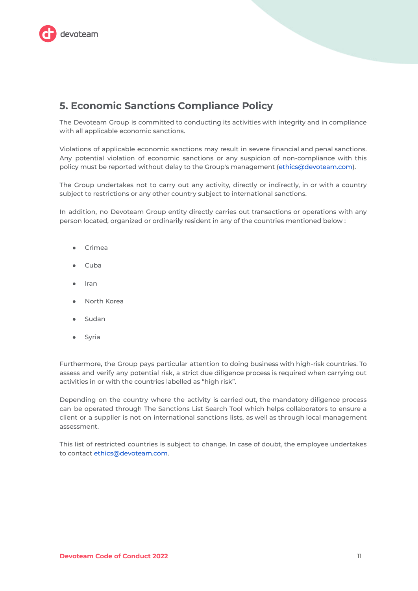

# <span id="page-10-0"></span>**5. Economic Sanctions Compliance Policy**

The Devoteam Group is committed to conducting its activities with integrity and in compliance with all applicable economic sanctions.

Violations of applicable economic sanctions may result in severe financial and penal sanctions. Any potential violation of economic sanctions or any suspicion of non-compliance with this policy must be reported without delay to the Group's management (ethics@devoteam.com).

The Group undertakes not to carry out any activity, directly or indirectly, in or with a country subject to restrictions or any other country subject to international sanctions.

In addition, no Devoteam Group entity directly carries out transactions or operations with any person located, organized or ordinarily resident in any of the countries mentioned below:

- Crimea
- Cuba
- Iran
- North Korea
- Sudan
- Syria  $\bullet$

Furthermore, the Group pays particular attention to doing business with high-risk countries. To assess and verify any potential risk, a strict due diligence process is required when carrying out activities in or with the countries labelled as "high risk".

Depending on the country where the activity is carried out, the mandatory diligence process can be operated through The Sanctions List Search Tool which helps collaborators to ensure a client or a supplier is not on international sanctions lists, as well as through local management assessment.

This list of restricted countries is subject to change. In case of doubt, the employee undertakes to contact ethics@devoteam.com.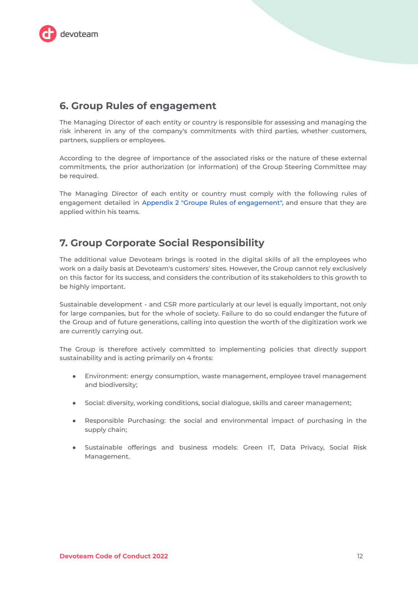

### <span id="page-11-0"></span>**6. Group Rules of engagement**

The Managing Director of each entity or country is responsible for assessing and managing the risk inherent in any of the company's commitments with third parties, whether customers, partners, suppliers or employees.

According to the degree of importance of the associated risks or the nature of these external commitments, the prior authorization (or information) of the Group Steering Committee may be required.

The Managing Director of each entity or country must comply with the following rules of engagement detailed in Appendix 2 "Groupe Rules of engagement", and ensure that they are applied within his teams.

# <span id="page-11-1"></span>**7. Group Corporate Social Responsibility**

The additional value Devoteam brings is rooted in the digital skills of all the employees who work on a daily basis at Devoteam's customers' sites. However, the Group cannot rely exclusively on this factor for its success, and considers the contribution of its stakeholders to this growth to be highly important.

Sustainable development - and CSR more particularly at our level is equally important, not only for large companies, but for the whole of society. Failure to do so could endanger the future of the Group and of future generations, calling into question the worth of the digitization work we are currently carrying out.

The Group is therefore actively committed to implementing policies that directly support sustainability and is acting primarily on 4 fronts:

- Environment: energy consumption, waste management, employee travel management and biodiversity;
- · Social: diversity, working conditions, social dialogue, skills and career management;
- Responsible Purchasing: the social and environmental impact of purchasing in the supply chain;
- · Sustainable offerings and business models: Green IT, Data Privacy, Social Risk Management.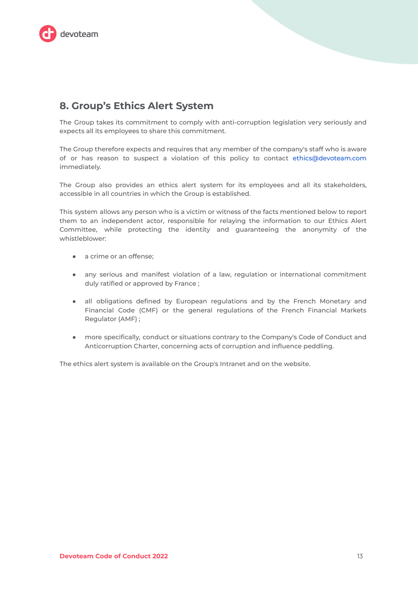

# <span id="page-12-0"></span>8. Group's Ethics Alert System

The Group takes its commitment to comply with anti-corruption legislation very seriously and expects all its employees to share this commitment.

The Group therefore expects and requires that any member of the company's staff who is aware of or has reason to suspect a violation of this policy to contact ethics@devoteam.com immediately.

The Group also provides an ethics alert system for its employees and all its stakeholders, accessible in all countries in which the Group is established.

This system allows any person who is a victim or witness of the facts mentioned below to report them to an independent actor, responsible for relaying the information to our Ethics Alert Committee, while protecting the identity and guaranteeing the anonymity of the whistleblower:

- a crime or an offense;
- any serious and manifest violation of a law, regulation or international commitment duly ratified or approved by France;
- . all obligations defined by European regulations and by the French Monetary and Financial Code (CMF) or the general regulations of the French Financial Markets Regulator (AMF) ;
- more specifically, conduct or situations contrary to the Company's Code of Conduct and Anticorruption Charter, concerning acts of corruption and influence peddling.

The ethics alert system is available on the Group's Intranet and on the website.